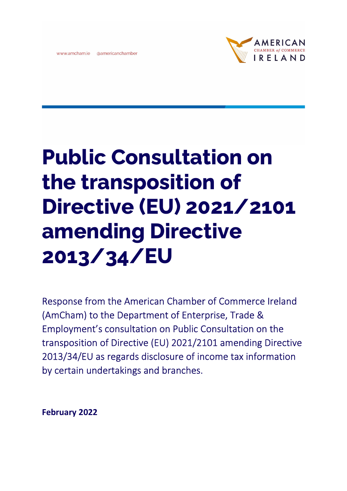



## Public Consultation on the transposition of Directive (EU) 2021/2101 amending Directive 2013/34/EU

Response from the American Chamber of Commerce Ireland (AmCham) to the Department of Enterprise, Trade & Employment's consultation on Public Consultation on the transposition of Directive (EU) 2021/2101 amending Directive 2013/34/EU as regards disclosure of income tax information by certain undertakings and branches.

February 2022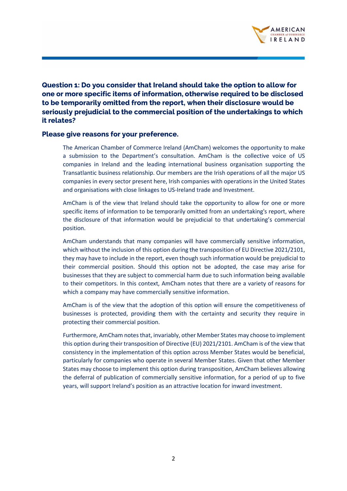

Question 1: Do you consider that Ireland should take the option to allow for one or more specific items of information, otherwise required to be disclosed to be temporarily omitted from the report, when their disclosure would be seriously prejudicial to the commercial position of the undertakings to which it relates?

## Please give reasons for your preference.

The American Chamber of Commerce Ireland (AmCham) welcomes the opportunity to make a submission to the Department's consultation. AmCham is the collective voice of US companies in Ireland and the leading international business organisation supporting the Transatlantic business relationship. Our members are the Irish operations of all the major US companies in every sector present here, Irish companies with operations in the United States and organisations with close linkages to US-Ireland trade and Investment.

AmCham is of the view that Ireland should take the opportunity to allow for one or more specific items of information to be temporarily omitted from an undertaking's report, where the disclosure of that information would be prejudicial to that undertaking's commercial position.

AmCham understands that many companies will have commercially sensitive information, which without the inclusion of this option during the transposition of EU Directive 2021/2101, they may have to include in the report, even though such information would be prejudicial to their commercial position. Should this option not be adopted, the case may arise for businesses that they are subject to commercial harm due to such information being available to their competitors. In this context, AmCham notes that there are a variety of reasons for which a company may have commercially sensitive information.

AmCham is of the view that the adoption of this option will ensure the competitiveness of businesses is protected, providing them with the certainty and security they require in protecting their commercial position.

Furthermore, AmCham notes that, invariably, other Member States may choose to implement this option during their transposition of Directive (EU) 2021/2101. AmCham is of the view that consistency in the implementation of this option across Member States would be beneficial, particularly for companies who operate in several Member States. Given that other Member States may choose to implement this option during transposition, AmCham believes allowing the deferral of publication of commercially sensitive information, for a period of up to five years, will support Ireland's position as an attractive location for inward investment.